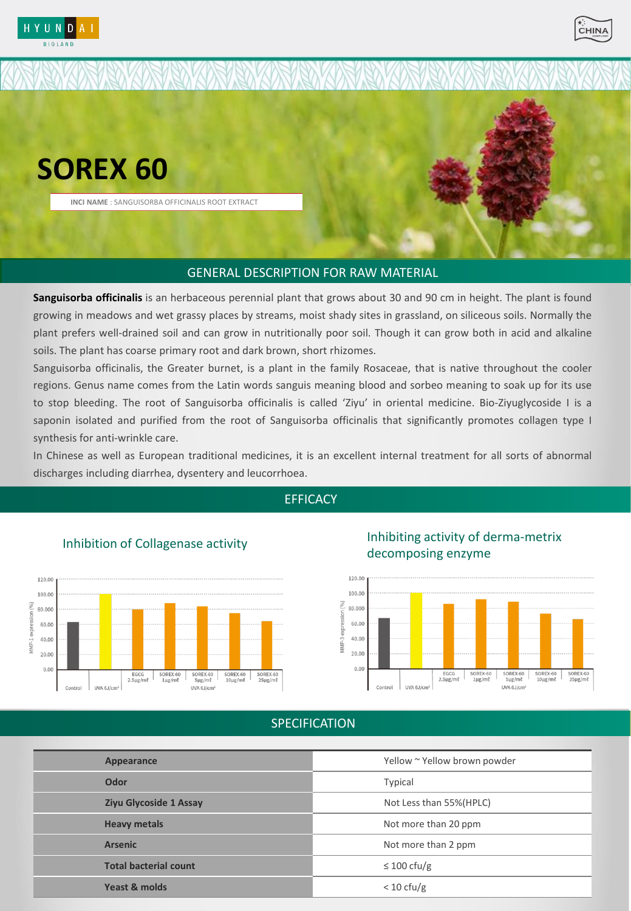



# **SOREX 60**

**INCI NAME** : SANGUISORBA OFFICINALIS ROOT EXTRACT

## GENERAL DESCRIPTION FOR RAW MATERIAL GENERAL DESCRIPTION FOR RAW MATERIAL

**Sanguisorba officinalis** is an herbaceous perennial plant that grows about 30 and 90 cm in height. The plant is found growing in meadows and wet grassy places by streams, moist shady sites in grassland, on siliceous soils. Normally the plant prefers well-drained soil and can grow in nutritionally poor soil. Though it can grow both in acid and alkaline soils. The plant has coarse primary root and dark brown, short rhizomes.

Sanguisorba officinalis, the Greater burnet, is a plant in the family Rosaceae, that is native throughout the cooler regions. Genus name comes from the Latin words sanguis meaning blood and sorbeo meaning to soak up for its use to stop bleeding. The root of Sanguisorba officinalis is called 'Ziyu' in oriental medicine. Bio-Ziyuglycoside I is a saponin isolated and purified from the root of Sanguisorba officinalis that significantly promotes collagen type I synthesis for anti-wrinkle care.

In Chinese as well as European traditional medicines, it is an excellent internal treatment for all sorts of abnormal discharges including diarrhea, dysentery and leucorrhoea.

#### **EFFICACY**



#### Inhibition of Collagenase activity

Inhibiting activity of derma-metrix decomposing enzyme



### SPECIFICATION SPECIFICATION

| Appearance                    | Yellow ~ Yellow brown powder |
|-------------------------------|------------------------------|
| Odor                          | Typical                      |
| <b>Ziyu Glycoside 1 Assay</b> | Not Less than 55% (HPLC)     |
| <b>Heavy metals</b>           | Not more than 20 ppm         |
| <b>Arsenic</b>                | Not more than 2 ppm          |
| <b>Total bacterial count</b>  | $\leq 100 \text{ cfu/g}$     |
| Yeast & molds                 | $< 10 \text{ cfu/g}$         |